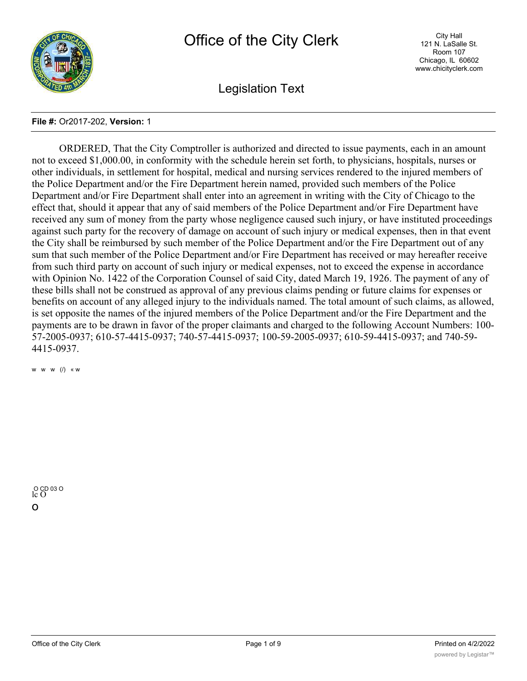

Legislation Text

# **File #:** Or2017-202, **Version:** 1

ORDERED, That the City Comptroller is authorized and directed to issue payments, each in an amount not to exceed \$1,000.00, in conformity with the schedule herein set forth, to physicians, hospitals, nurses or other individuals, in settlement for hospital, medical and nursing services rendered to the injured members of the Police Department and/or the Fire Department herein named, provided such members of the Police Department and/or Fire Department shall enter into an agreement in writing with the City of Chicago to the effect that, should it appear that any of said members of the Police Department and/or Fire Department have received any sum of money from the party whose negligence caused such injury, or have instituted proceedings against such party for the recovery of damage on account of such injury or medical expenses, then in that event the City shall be reimbursed by such member of the Police Department and/or the Fire Department out of any sum that such member of the Police Department and/or Fire Department has received or may hereafter receive from such third party on account of such injury or medical expenses, not to exceed the expense in accordance with Opinion No. 1422 of the Corporation Counsel of said City, dated March 19, 1926. The payment of any of these bills shall not be construed as approval of any previous claims pending or future claims for expenses or benefits on account of any alleged injury to the individuals named. The total amount of such claims, as allowed, is set opposite the names of the injured members of the Police Department and/or the Fire Department and the payments are to be drawn in favor of the proper claimants and charged to the following Account Numbers: 100- 57-2005-0937; 610-57-4415-0937; 740-57-4415-0937; 100-59-2005-0937; 610-59-4415-0937; and 740-59- 4415-0937.

w w w (/) « w

O CD 03 O lc O o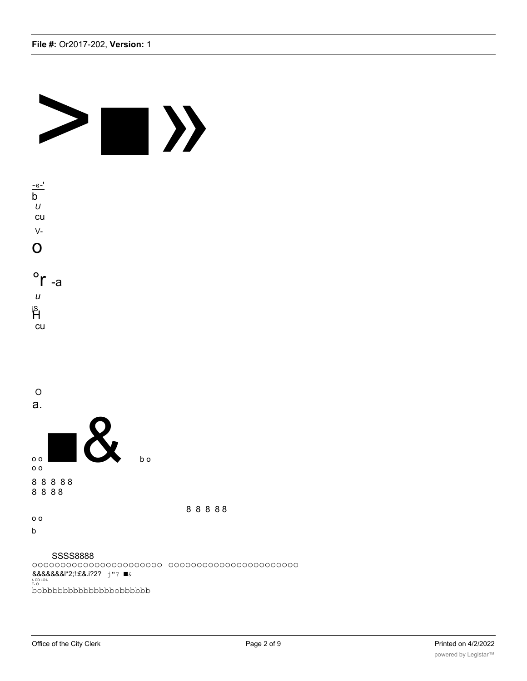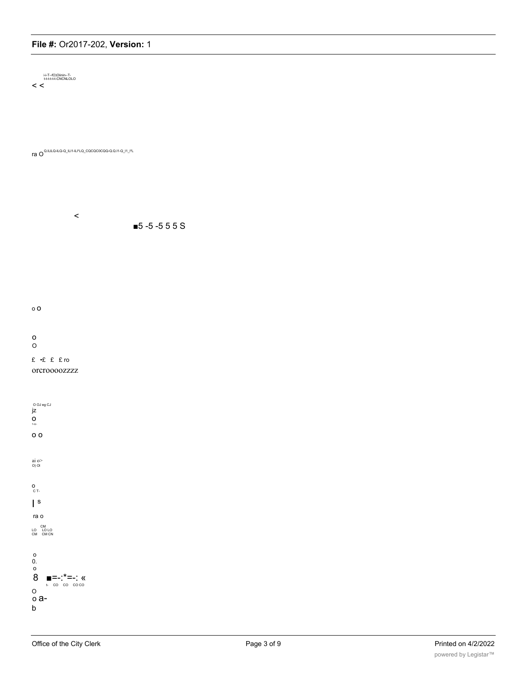ra O<sup>Q.ILILQ-ILQ-Q\_ILI1-ILI'LQ\_CQCQC0CQQ-Q.Q.I1-Q\_I1\_I'L</sup>

 $\,<$  $\blacksquare$ 5 -5 -5 5 5 S

 $\circ$  O

 $\mathsf{o}$ 

 $\circ$ 

o ou eg CJ<br>jZ

£ +£ £ £ ro

orcroooozzzz

 $\overline{O}$ <sub>1-W-</sub>  $\circ$   $\circ$ ai o><br>o) oı  $\frac{0}{c}$  T- $\mathsf{I}^{\mathsf{s}}$ ra o CM<br>LO LOLO<br>CM CM CM  $0.0$  $\blacksquare = -$ :  $* = -$ : «  $\, 8$  $\circ$ o a-

 $\sf b$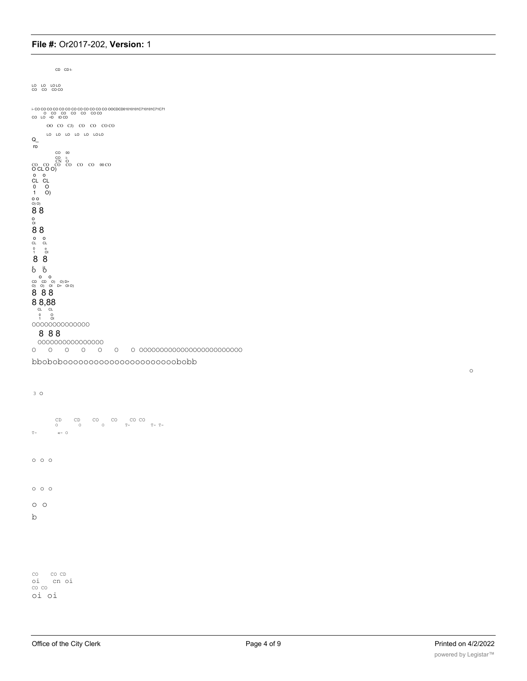CD CD<sub>t-</sub> LO LO LOLO<br>CO CO COCO  $\begin{array}{ccccc} \text{I-CO CO CO CO CO CO CO CO CO CO CO CO CO OCO CO OCO O} & \text{I}-\text{O} & \text{I}-\text{O} & \text{I}-\text{O} & \text{I}-\text{O} & \text{I}-\text{O} & \text{I}-\text{O} & \text{I}-\text{O} & \text{I}-\text{O} & \text{I}-\text{O} & \text{I}-\text{O} & \text{I}-\text{O} & \text{I}-\text{O} & \text{I}-\text{O} & \text{I}-\text{O} & \text{I}-\text{O} & \text{I}-\text{O} & \text{I}-\text{O}$ 00 CO CJ) CO CO CO CO CO LO LO LO LO LO LOLO  $\mathsf{Q}_$  $ro$  $CO$   $00$  $0 0$ <br>
CL  $0 0$ <br>  $1 0$ 8 8  $\stackrel{jr}{O} \quad \stackrel{jz}{O}$  $\overset{o}{\underset{o}{\text{co}}\,\overset{o}{\text{co}}\,\overset{o}{\text{co}}\,\overset{o}{\text{co}}\,\overset{o}{\text{co}}\,\overset{o}{\text{co}}\,\overset{o}{\text{co}}\,\overset{o}{\text{co}}\,\overset{o}{\text{co}}\,\overset{o}{\text{co}}\,\overset{o}{\text{co}}\,\overset{o}{\text{co}}\,\overset{o}{\text{co}}\,\overset{o}{\text{co}}\,\overset{o}{\text{co}}\,\overset{o}{\text{co}}\,\overset{o}{\text{co}}\,\overset{o}{\text{co}}\,\overset{o}{\text{co}}\,\overset{o}{\$ 88,88  $\begin{array}{ccc} & C L & C L \\ 0 & 0 \\ 1 & 0 \end{array}$ 0000000000000 888 000000000000000 ddodoooooooooooooooooododdd

 $3^{\circ}$ 

CD CD CO CO CO CO  $T - T - T - T$  $\ll -$  0  $\mathbb{T} 0 0 0$  $0 0 0$  $O$   $O$ 

 $\rm{b}$ 

co coco<br>oi cnoi<br>coco  $\circ i \circ i$ 

 $\circ$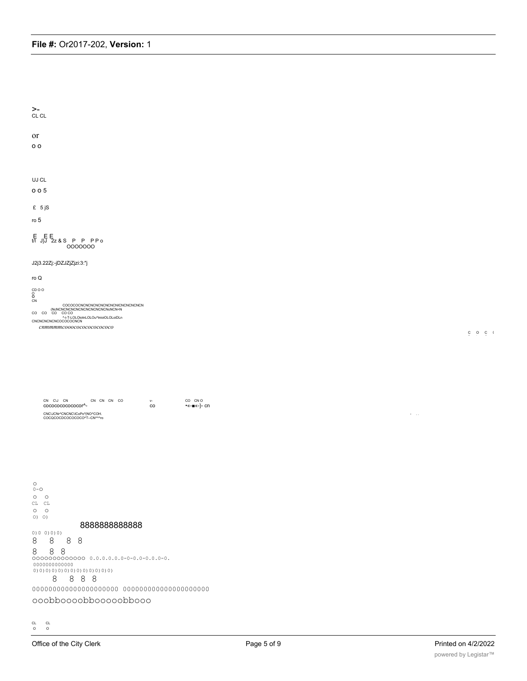| >-                                                                                                                    |             |                |                     |
|-----------------------------------------------------------------------------------------------------------------------|-------------|----------------|---------------------|
| CL CL                                                                                                                 |             |                |                     |
| or                                                                                                                    |             |                |                     |
| 0 <sub>0</sub>                                                                                                        |             |                |                     |
|                                                                                                                       |             |                |                     |
| UJ CL                                                                                                                 |             |                |                     |
| 005                                                                                                                   |             |                |                     |
| £ $5jS$                                                                                                               |             |                |                     |
| ro 5                                                                                                                  |             |                |                     |
| E EE<br>tij) 2z&S P P PPo<br>0000000                                                                                  |             |                |                     |
| J2j3.22Zj:-jDZJZjZjzi:3:"j                                                                                            |             |                |                     |
| ro Q                                                                                                                  |             |                |                     |
| $_0^\mathsf{co}$ oo<br>${\sf CN}$                                                                                     |             |                |                     |
| co co co co co                                                                                                        |             |                |                     |
| CRONCINCING A-LT-LOLOIGHLOLOUMthioIOLOLOIDLn<br>CNCNCNCNCNCOCOCOCNCN<br>спттттсооосососососососо                      |             |                |                     |
|                                                                                                                       |             |                | $C$ $O$ $C$ $C$     |
|                                                                                                                       |             |                |                     |
|                                                                                                                       |             |                |                     |
|                                                                                                                       |             |                |                     |
| $CN$ $C\cup$ $CN$<br>CN CN CN CO<br>CO CNO<br>$\mathsf{V}\text{-}$<br>cococococococor^-<br>•«-∎«-}- cn<br>$_{\rm co}$ |             |                |                     |
| CNC\JCNr^CNCNC\ICoPoª(NO^COH.<br>COCQCOCDCOCOCOCO^T--CN^^^ro                                                          |             | $\sigma = 1.1$ |                     |
|                                                                                                                       |             |                |                     |
|                                                                                                                       |             |                |                     |
|                                                                                                                       |             |                |                     |
| $\circ$                                                                                                               |             |                |                     |
| $0 - O$<br>$O$ $O$                                                                                                    |             |                |                     |
| $\mathtt{CL}$ $\mathtt{CL}$<br>$O$ $O$                                                                                |             |                |                     |
| $()$ $()$<br>888888888888                                                                                             |             |                |                     |
| 0) 0 0) 0) 0)<br>$\,8\,$<br>8 8<br>8                                                                                  |             |                |                     |
| 8<br>8 8<br>0000000000000  0.0.0.0.0.0-0-0.0-0.0.0-0.                                                                 |             |                |                     |
| 000000000000                                                                                                          |             |                |                     |
| 8 8 8<br>8                                                                                                            |             |                |                     |
| oooddooooddooooddooo                                                                                                  |             |                |                     |
|                                                                                                                       |             |                |                     |
| $\mathsf{CL}$ $\qquad$ $\mathsf{CL}$<br>$0$ 0                                                                         |             |                |                     |
| Office of the City Clerk                                                                                              | Page 5 of 9 |                | Printed on 4/2/2022 |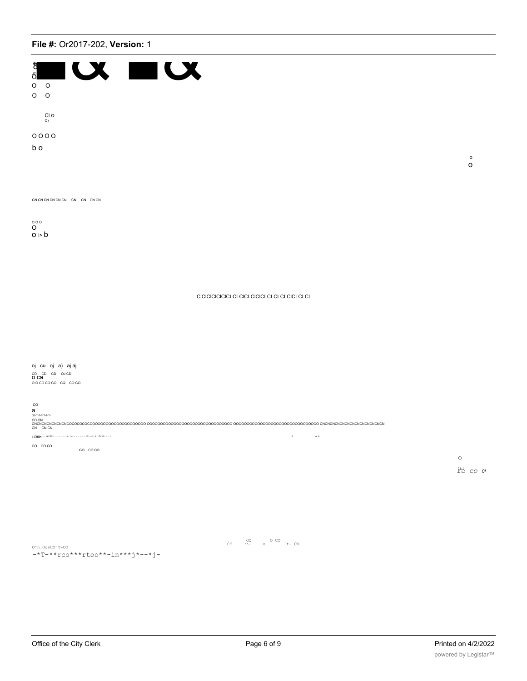| File #: Or2017-202, Version: 1                                                 |              |
|--------------------------------------------------------------------------------|--------------|
| $\blacksquare$ $\blacksquare$ $\blacksquare$                                   |              |
| $O$ $O$                                                                        |              |
| $O$ $O$                                                                        |              |
| $_{\mathrm{O)}}^{\mathrm{Cl}}$ o                                               |              |
| $0000$                                                                         |              |
| b o                                                                            | $\circ$<br>o |
| CN CN CN CN CN CN CN CN CN CN                                                  |              |
| $000$<br>$\circ$<br>$o \ge b$                                                  |              |
|                                                                                |              |
|                                                                                |              |
|                                                                                |              |
|                                                                                |              |
|                                                                                |              |
|                                                                                |              |
|                                                                                |              |
|                                                                                |              |
| oj cu oj a) ajaj<br>CD CD CD OJCD<br>OCA                                       |              |
| 00 CO CO CO CQ CO CO                                                           |              |
| $_{\rm CO}$<br>a                                                               |              |
| 03-T-T-T-T-T-T-T-                                                              |              |
| $\wedge$ $\wedge$<br>LOIfiin~*^"^"~~~~~~~*~"~~~~~~~~""~*"~*~""~~~~<br>$\wedge$ |              |
| CO COCO<br>GO COCO                                                             |              |
|                                                                                | $\circ$      |
|                                                                                | $21$ co c    |
|                                                                                |              |
|                                                                                |              |
|                                                                                |              |
|                                                                                |              |

 $\begin{matrix} \text{O}_1 & \text{O}_2 & \text{O}_3 & \text{O}_4 \\ \text{O}_2 & \text{O}_4 & \text{O}_5 & \text{O}_6 \end{matrix} \quad \begin{matrix} \text{O}_1 & \text{O}_2 & \text{O}_4 \\ \text{O}_2 & \text{O}_6 & \text{O}_7 \end{matrix} \quad \begin{matrix} \text{O}_2 & \text{O}_2 & \text{O}_6 \\ \text{O}_2 & \text{O}_6 & \text{O}_7 \end{matrix}$  $-$ \*T-\*\*rco\*\*\*rtoo\*\*-in\*\*\*j\*--\*j-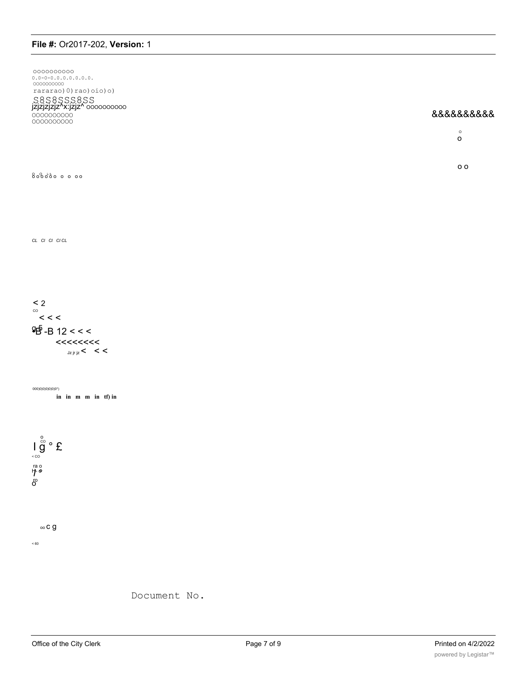

Document No.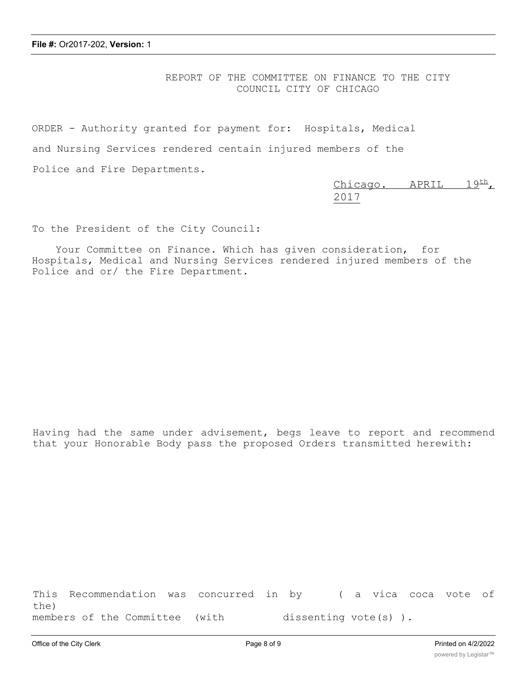REPORT OF THE COMMITTEE ON FINANCE TO THE CITY COUNCIL CITY OF CHICAGO

ORDER - Authority granted for payment for: Hospitals, Medical and Nursing Services rendered centain injured members of the Police and Fire Departments.

> Chicago. APRIL 19th 2017

To the President of the City Council:

Your Committee on Finance. Which has given consideration, for Hospitals, Medical and Nursing Services rendered injured members of the Police and or/ the Fire Department.

Having had the same under advisement, begs leave to report and recommend that your Honorable Body pass the proposed Orders transmitted herewith:

This Recommendation was concurred in by ( a vica coca vote of the) members of the Committee (with dissenting vote(s) ).